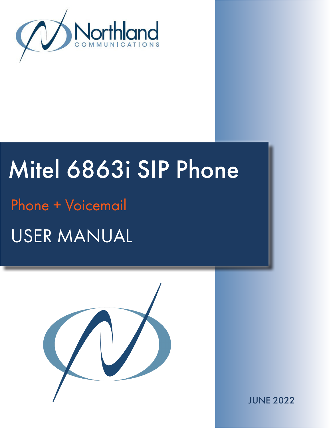

## Mitel 6863i SIP Phone Phone + Voicemail

# USER MANUAL



JUNE 2022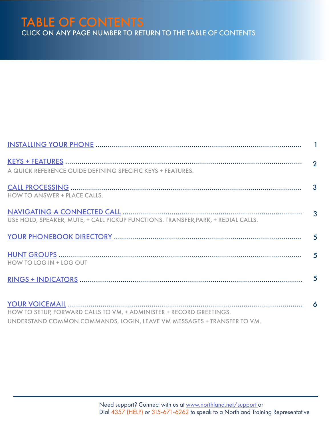#### TABLE OF CONTENTS CLICK ON ANY PAGE NUMBER TO RETURN TO THE TABLE OF CONTENTS

| A QUICK REFERENCE GUIDE DEFINING SPECIFIC KEYS + FEATURES.                                                                                    |  |
|-----------------------------------------------------------------------------------------------------------------------------------------------|--|
| HOW TO ANSWER + PLACE CALLS.                                                                                                                  |  |
| USE HOLD, SPEAKER, MUTE, + CALL PICKUP FUNCTIONS. TRANSFER, PARK, + REDIAL CALLS.                                                             |  |
|                                                                                                                                               |  |
| HOW TO LOG IN + LOG OUT                                                                                                                       |  |
|                                                                                                                                               |  |
| HOW TO SETUP, FORWARD CALLS TO VM, + ADMINISTER + RECORD GREETINGS.<br>UNDERSTAND COMMON COMMANDS, LOGIN, LEAVE VM MESSAGES + TRANSFER TO VM. |  |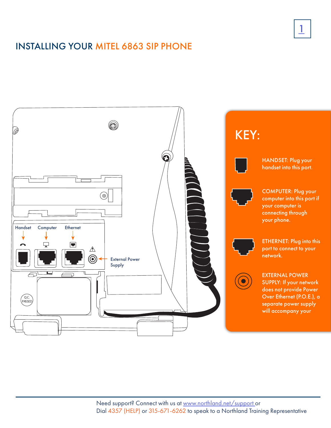#### <span id="page-2-0"></span>INSTALLING YOUR MITEL 6863 SIP PHONE



1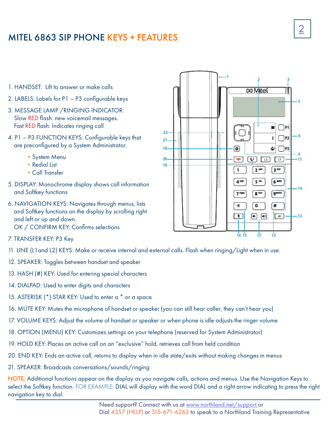#### <span id="page-3-0"></span>MITEL 6863 SIP PHONE KEYS + FEATURES

- 1. HANDSET: Lift to answer or make calls
- 2. LABELS: Labels for P1 P3 configurable keys
- 3. MESSAGE LAMP /RINGING INDICATOR: Slow RED flash: new voicemail messages. Fast RED flash: Indicates ringing call
- 4. P1 P3 FUNCTION KEYS: Configurable keys that are preconfigured by a System Administrator.
	- + System Menu
	- + Redial List
	- + Call Transfer
- 5. DISPLAY: Monochrome display shows call information and Softkey functions
- 6. NAVIGATION KEYS: Navigates through menus, lists and Softkey functions on the display by scrolling right and left or up and down. OK / CONFIRM KEY: Confirms selections
- 7. TRANSFER KEY: P3 Key
- 11. LINE (L1and L2) KEYS: Make or receive internal and external calls. Flash when ringing/Light when in use.
- 12. SPEAKER: Toggles between handset and speaker
- 13. HASH (#) KEY: Used for entering special characters
- 14. DIALPAD: Used to enter digits and characters
- 15. ASTERISK (\*) STAR KEY: Used to enter a \* or a space
- 16. MUTE KEY: Mutes the microphone of handset or speaker (you can still hear caller, they can't hear you)
- 17. VOLUME KEYS: Adjust the volume of handset or speaker or when phone is idle adjusts the ringer volume
- 18. OPTION (MENU) KEY: Customizes settings on your telephone (reserved for System Administrator)
- 19. HOLD KEY: Places an active call on an "exclusive" hold, retrieves call from held condition
- 20. END KEY: Ends an active call, returns to display when in idle state/exits without making changes in menus
- 21. SPEAKER: Broadcasts conversations/sounds/ringing

NOTE: Additional functions appear on the display as you navigate calls, actions and menus. Use the Navigation Keys to select the Softkey function. FOR EXAMPLE: DIAL will display with the word DIAL and a right arrow indicating to press the right navigation key to dial.

 $\boxtimes$  Mitel s  $\bigcap$ P1  $22 \ddagger$  $\bigcap$ P2  $21$  $\overline{\mathbf{c}}$ 18  $\leftarrow \bigcap P3$  $20<sub>1</sub>$  $\mathbf{r}$  $\boxed{V}$  $\boxed{12}$  $\lceil \cdots \rceil$ 19  $2^{\text{ABC}}$  $3<sup>60</sup>$  $\mathbf{1}$ 4 GH 5 ж 6 MNO gwxvz  $8^{\text{TV}}$ 7 PQRS  $\pmb{\mathsf{o}}$ #  $\ast$  $\Box$  $\left( \bigoplus_{i=1}^{n} \left[ \begin{array}{c} 0 & \cdots \end{array} \right]$  $\sqrt{40}$  $\frac{1}{13}$ 

k,

 $11$ 

-14

 $-12$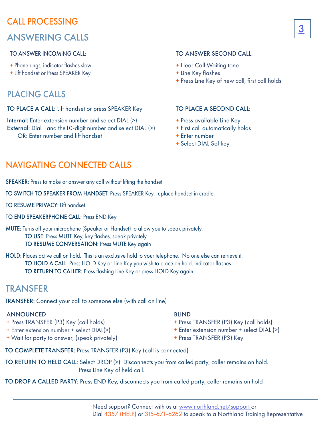#### <span id="page-4-0"></span>CALL PROCESSING ANSWERING CALLS

#### TO ANSWER INCOMING CALL:

- + Phone rings, indicator flashes slow
- + Lift handset or Press SPEAKER Key

#### PLACING CALLS

#### TO PLACE A CALL: Lift handset or press SPEAKER Key

Internal: Enter extension number and select DIAL (>) External: Dial 1 and the 10-digit number and select DIAL (>) OR: Enter number and lift handset

#### TO ANSWER SECOND CALL:

- + Hear Call Waiting tone
- + Line Key flashes
- + Press Line Key of new call, first call holds

#### TO PLACE A SECOND CALL:

- + Press available Line Key
- + First call automatically holds
- + Enter number
- + Select DIAL Softkey

#### <span id="page-4-1"></span>NAVIGATING CONNECTED CALLS

SPEAKER: Press to make or answer any call without lifting the handset.

TO SWITCH TO SPEAKER FROM HANDSET: Press SPEAKER Key, replace handset in cradle.

TO RESUME PRIVACY: Lift handset.

TO END SPEAKERPHONE CALL: Press END Key

MUTE: Turns off your microphone (Speaker or Handset) to allow you to speak privately. TO USE: Press MUTE Key, key flashes, speak privately TO RESUME CONVERSATION: Press MUTE Key again

HOLD: Places active call on hold. This is an exclusive hold to your telephone. No one else can retrieve it. TO HOLD A CALL: Press HOLD Key or Line Key you wish to place on hold, indicator flashes TO RETURN TO CALLER: Press flashing Line Key or press HOLD Key again

#### TRANSFER

TRANSFER: Connect your call to someone else (with call on line)

#### ANNOUNCED

- + Press TRANSFER (P3) Key (call holds)
- + Enter extension number + select DIAL(>)
- + Wait for party to answer, (speak privately)

#### BLIND

- + Press TRANSFER (P3) Key (call holds)
- + Enter extension number + select DIAL (>)
- + Press TRANSFER (P3) Key

TO COMPLETE TRANSFER: Press TRANSFER (P3) Key (call is connected)

TO RETURN TO HELD CALL: Select DROP (>) Disconnects you from called party, caller remains on hold. Press Line Key of held call.

TO DROP A CALLED PARTY: Press END Key, disconnects you from called party, caller remains on hold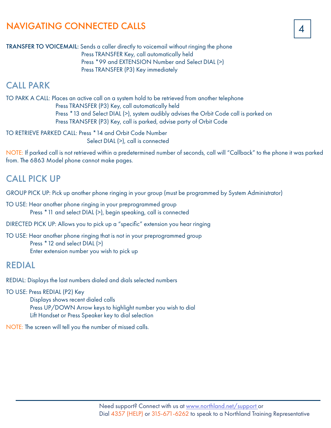#### NAVIGATING CONNECTED CALLS

TRANSFER TO VOICEMAIL: Sends a caller directly to voicemail without ringing the phone Press TRANSFER Key, call automatically held Press \*99 and EXTENSION Number and Select DIAL (>) Press TRANSFER (P3) Key immediately

#### CALL PARK

TO PARK A CALL: Places an active call on a system hold to be retrieved from another telephone Press TRANSFER (P3) Key, call automatically held Press \* 13 and Select DIAL (>), system audibly advises the Orbit Code call is parked on Press TRANSFER (P3) Key, call is parked, advise party of Orbit Code

TO RETRIEVE PARKED CALL: Press \*14 and Orbit Code Number Select DIAL (>), call is connected

NOTE: If parked call is not retrieved within a predetermined number of seconds, call will "Callback" to the phone it was parked from. The 6863 Model phone cannot make pages.

#### CALL PICK UP

GROUP PICK UP: Pick up another phone ringing in your group (must be programmed by System Administrator)

TO USE: Hear another phone ringing in your preprogrammed group Press \*11 and select DIAL (>), begin speaking, call is connected

DIRECTED PICK UP: Allows you to pick up a "specific" extension you hear ringing

TO USE: Hear another phone ringing that is not in your preprogrammed group Press \*12 and select DIAL (>) Enter extension number you wish to pick up

#### REDIAL

REDIAL: Displays the last numbers dialed and dials selected numbers

TO USE: Press REDIAL (P2) Key

 Displays shows recent dialed calls Press UP/DOWN Arrow keys to highlight number you wish to dial Lift Handset or Press Speaker key to dial selection

NOTE: The screen will tell you the number of missed calls.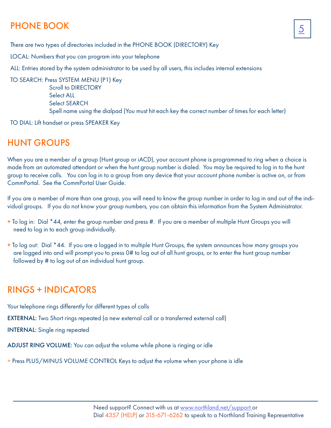### <span id="page-6-0"></span>PHONE BOOK 25

There are two types of directories included in the PHONE BOOK (DIRECTORY) Key

LOCAL: Numbers that you can program into your telephone

ALL: Entries stored by the system administrator to be used by all users, this includes internal extensions

TO SEARCH: Press SYSTEM MENU (P1) Key Scroll to DIRECTORY Select ALL Select SEARCH Spell name using the dialpad (You must hit each key the correct number of times for each letter)

TO DIAL: Lift handset or press SPEAKER Key

#### <span id="page-6-1"></span>HUNT GROUPS

When you are a member of a group (Hunt group or iACD), your account phone is programmed to ring when a choice is made from an automated attendant or when the hunt group number is dialed. You may be required to log in to the hunt group to receive calls. You can log in to a group from any device that your account phone number is active on, or from CommPortal. See the CommPortal User Guide.

If you are a member of more than one group, you will need to know the group number in order to log in and out of the individual groups. If you do not know your group numbers, you can obtain this information from the System Administrator.

- + To log in: Dial \*44, enter the group number and press #. If you are a member of multiple Hunt Groups you will need to log in to each group individually.
- + To log out: Dial \*44. If you are a logged in to multiple Hunt Groups, the system announces how many groups you are logged into and will prompt you to press 0# to log out of all hunt groups, or to enter the hunt group number followed by # to log out of an individual hunt group.

#### <span id="page-6-2"></span>RINGS + INDICATORS

Your telephone rings differently for different types of calls EXTERNAL: Two Short rings repeated (a new external call or a transferred external call) INTERNAL: Single ring repeated

ADJUST RING VOLUME: You can adjust the volume while phone is ringing or idle

+ Press PLUS/MINUS VOLUME CONTROL Keys to adjust the volume when your phone is idle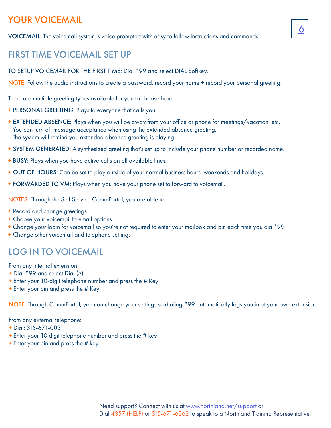#### <span id="page-7-0"></span>YOUR VOICEMAIL

VOICEMAIL: The voicemail system is voice prompted with easy to follow instructions and commands.

#### FIRST TIME VOICEMAIL SET UP

TO SETUP VOICEMAIL FOR THE FIRST TIME: Dial \*99 and select DIAL Softkey.

NOTE: Follow the audio instructions to create a password, record your name + record your personal greeting.

6

There are multiple greeting types available for you to choose from:

- + PERSONAL GREETING: Plays to everyone that calls you.
- + EXTENDED ABSENCE: Plays when you will be away from your office or phone for meetings/vacation, etc. You can turn off message acceptance when using the extended absence greeting. The system will remind you extended absence greeting is playing.
- + SYSTEM GENERATED: A synthesized greeting that's set up to include your phone number or recorded name.
- + BUSY: Plays when you have active calls on all available lines.
- + OUT OF HOURS: Can be set to play outside of your normal business hours, weekends and holidays.
- + FORWARDED TO VM: Plays when you have your phone set to forward to voicemail.

NOTES: Through the Self Service CommPortal, you are able to:

- + Record and change greetings
- + Choose your voicemail to email options
- + Change your login for voicemail so you're not required to enter your mailbox and pin each time you dial\*99
- + Change other voicemail and telephone settings

#### LOG IN TO VOICEMAIL

From any internal extension:

- + Dial \*99 and select Dial (>)
- + Enter your 10-digit telephone number and press the # Key
- + Enter your pin and press the # Key

NOTE: Through CommPortal, you can change your settings so dialing \*99 automatically logs you in at your own extension.

From any external telephone:

- + Dial: 315-671-0031
- + Enter your 10 digit telephone number and press the # key
- + Enter your pin and press the # key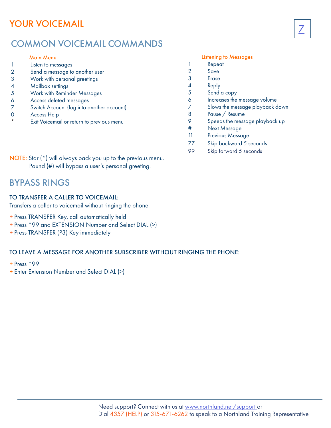#### <span id="page-8-0"></span>YOUR VOICEMAIL

#### COMMON VOICEMAIL COMMANDS

#### Main Menu

- 1 Listen to messages
- 2 Send a message to another user
- 3 Work with personal greetings
- 4 Mailbox settings
- 5 Work with Reminder Messages
- 6 Access deleted messages
- 7 Switch Account (log into another account)
- 0 Access Help
- Exit Voicemail or return to previous menu

#### Listening to Messages

- 1 Repeat
- 2 Save
- 3 Erase
- 4 Reply
- 5 Send a copy
- 6 Increases the message volume

7

- 7 Slows the message playback down
- 8 Pause / Resume
- 9 Speeds the message playback up
- # Next Message
- 11 Previous Message
- 77 Skip backward 5 seconds
- 99 Skip forward 5 seconds

NOTE: Star (\*) will always back you up to the previous menu. Pound (#) will bypass a user's personal greeting.

#### BYPASS RINGS

#### TO TRANSFER A CALLER TO VOICEMAIL:

Transfers a caller to voicemail without ringing the phone.

- + Press TRANSFER Key, call automatically held
- + Press \*99 and EXTENSION Number and Select DIAL (>)
- + Press TRANSFER (P3) Key immediately

#### TO LEAVE A MESSAGE FOR ANOTHER SUBSCRIBER WITHOUT RINGING THE PHONE:

- + Press \*99
- + Enter Extension Number and Select DIAL (>)